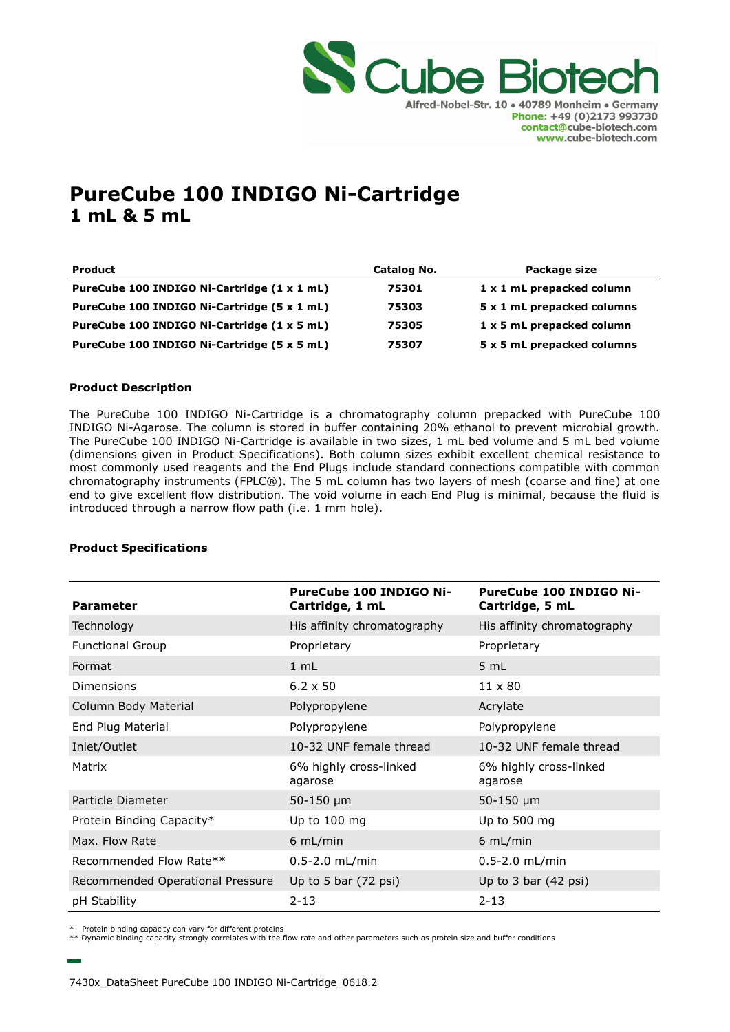

# **PureCube 100 INDIGO Ni-Cartridge 1 mL & 5 mL**

| <b>Product</b>                              | Catalog No. | Package size               |
|---------------------------------------------|-------------|----------------------------|
| PureCube 100 INDIGO Ni-Cartridge (1 x 1 mL) | 75301       | 1 x 1 mL prepacked column  |
| PureCube 100 INDIGO Ni-Cartridge (5 x 1 mL) | 75303       | 5 x 1 mL prepacked columns |
| PureCube 100 INDIGO Ni-Cartridge (1 x 5 mL) | 75305       | 1 x 5 mL prepacked column  |
| PureCube 100 INDIGO Ni-Cartridge (5 x 5 mL) | 75307       | 5 x 5 mL prepacked columns |

### **Product Description**

The PureCube 100 INDIGO Ni-Cartridge is a chromatography column prepacked with PureCube 100 INDIGO Ni-Agarose. The column is stored in buffer containing 20% ethanol to prevent microbial growth. The PureCube 100 INDIGO Ni-Cartridge is available in two sizes, 1 mL bed volume and 5 mL bed volume (dimensions given in Product Specifications). Both column sizes exhibit excellent chemical resistance to most commonly used reagents and the End Plugs include standard connections compatible with common chromatography instruments (FPLC®). The 5 mL column has two layers of mesh (coarse and fine) at one end to give excellent flow distribution. The void volume in each End Plug is minimal, because the fluid is introduced through a narrow flow path (i.e. 1 mm hole).

### **Product Specifications**

| <b>Parameter</b>                 | <b>PureCube 100 INDIGO Ni-</b><br>Cartridge, 1 mL | <b>PureCube 100 INDIGO Ni-</b><br>Cartridge, 5 mL |
|----------------------------------|---------------------------------------------------|---------------------------------------------------|
| Technology                       | His affinity chromatography                       | His affinity chromatography                       |
| <b>Functional Group</b>          | Proprietary                                       | Proprietary                                       |
| Format                           | 1 mL                                              | 5 mL                                              |
| <b>Dimensions</b>                | $6.2 \times 50$                                   | $11 \times 80$                                    |
| Column Body Material             | Polypropylene                                     | Acrylate                                          |
| End Plug Material                | Polypropylene                                     | Polypropylene                                     |
| Inlet/Outlet                     | 10-32 UNF female thread                           | 10-32 UNF female thread                           |
| Matrix                           | 6% highly cross-linked<br>agarose                 | 6% highly cross-linked<br>agarose                 |
| Particle Diameter                | $50 - 150 \mu m$                                  | $50 - 150$ µm                                     |
| Protein Binding Capacity*        | Up to $100$ mg                                    | Up to 500 mg                                      |
| Max. Flow Rate                   | $6$ mL/min                                        | $6$ mL/min                                        |
| Recommended Flow Rate**          | $0.5 - 2.0$ mL/min                                | $0.5 - 2.0$ mL/min                                |
| Recommended Operational Pressure | Up to 5 bar $(72 \text{ psi})$                    | Up to $3$ bar $(42$ psi)                          |
| pH Stability                     | $2 - 13$                                          | $2 - 13$                                          |

Protein binding capacity can vary for different proteins

\*\* Dynamic binding capacity strongly correlates with the flow rate and other parameters such as protein size and buffer conditions